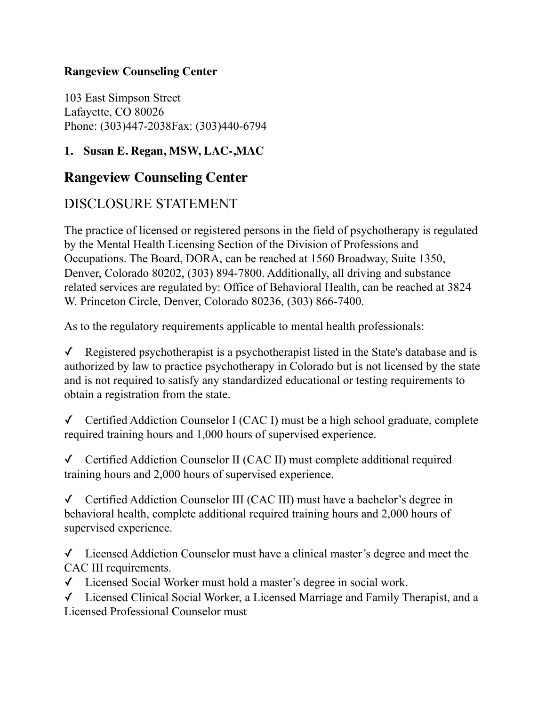## **Rangeview Counseling Center**

103 East Simpson Street Lafayette, CO 80026 Phone: (303)447-2038Fax: (303)440-6794

## **1. Susan E. Regan, MSW, LAC-,MAC**

## **Rangeview Counseling Center**

## DISCLOSURE STATEMENT

The practice of licensed or registered persons in the field of psychotherapy is regulated by the Mental Health Licensing Section of the Division of Professions and Occupations. The Board, DORA, can be reached at 1560 Broadway, Suite 1350, Denver, Colorado 80202, (303) 894-7800. Additionally, all driving and substance related services are regulated by: Office of Behavioral Health, can be reached at 3824 W. Princeton Circle, Denver, Colorado 80236, (303) 866-7400.

As to the regulatory requirements applicable to mental health professionals:

 $\checkmark$  Registered psychotherapist is a psychotherapist listed in the State's database and is authorized by law to practice psychotherapy in Colorado but is not licensed by the state and is not required to satisfy any standardized educational or testing requirements to obtain a registration from the state.

✓ Certified Addiction Counselor I (CAC I) must be a high school graduate, complete required training hours and 1,000 hours of supervised experience.

✓ Certified Addiction Counselor II (CAC II) must complete additional required training hours and 2,000 hours of supervised experience.

✓ Certified Addiction Counselor III (CAC III) must have a bachelor's degree in behavioral health, complete additional required training hours and 2,000 hours of supervised experience.

✓ Licensed Addiction Counselor must have a clinical master's degree and meet the CAC III requirements.

✓ Licensed Social Worker must hold a master's degree in social work.

✓ Licensed Clinical Social Worker, a Licensed Marriage and Family Therapist, and a Licensed Professional Counselor must